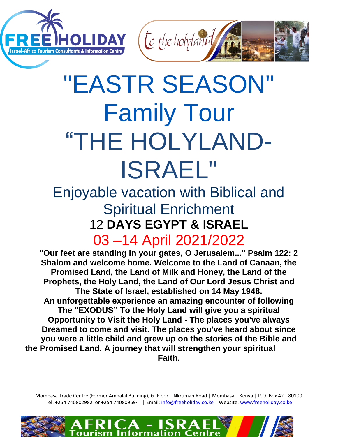



# "EASTR SEASON" Family Tour "THE HOLYLAND-ISRAEL"

# Enjoyable vacation with Biblical and Spiritual Enrichment 12 **DAYS EGYPT & ISRAEL**

03 –14 April 2021/2022

**"Our feet are standing in your gates, O Jerusalem..." Psalm 122: 2 Shalom and welcome home. Welcome to the Land of Canaan, the Promised Land, the Land of Milk and Honey, the Land of the Prophets, the Holy Land, the Land of Our Lord Jesus Christ and The State of Israel, established on 14 May 1948. An unforgettable experience an amazing encounter of following The "EXODUS" To the Holy Land will give you a spiritual Opportunity to Visit the Holy Land - The places you've always Dreamed to come and visit. The places you've heard about since you were a little child and grew up on the stories of the Bible and the Promised Land. A journey that will strengthen your spiritual Faith.**

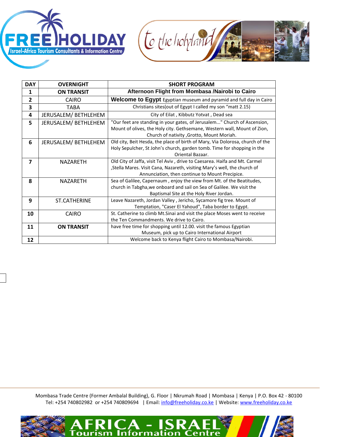



| <b>DAY</b>              | <b>OVERNIGHT</b>     | <b>SHORT PROGRAM</b>                                                                                                                                                                                       |
|-------------------------|----------------------|------------------------------------------------------------------------------------------------------------------------------------------------------------------------------------------------------------|
| 1                       | <b>ON TRANSIT</b>    | Afternoon Flight from Mombasa /Nairobi to Cairo                                                                                                                                                            |
| $\overline{\mathbf{2}}$ | <b>CAIRO</b>         | <b>Welcome to Egypt</b> Egyptian museum and pyramid and full day in Cairo                                                                                                                                  |
| 3                       | <b>TABA</b>          | Christians sites(out of Egypt I called my son "matt 2.15)                                                                                                                                                  |
| 4                       | JERUSALEM/ BETHLEHEM | City of Eilat, Kibbutz Yotvat, Dead sea                                                                                                                                                                    |
| 5                       | JERUSALEM/ BETHLEHEM | "Our feet are standing in your gates, of Jerusalem" Church of Ascension,<br>Mount of olives, the Holy city. Gethsemane, Western wall, Mount of Zion,<br>Church of nativity , Grotto, Mount Moriah.         |
| 6                       | JERUSALEM/ BETHLEHEM | Old city, Beit Hesda, the place of birth of Mary, Via Dolorosa, church of the<br>Holy Sepulcher, St John's church, garden tomb. Time for shopping in the<br>Oriental Bazaar.                               |
| 7                       | <b>NAZARETH</b>      | Old City of Jaffa, visit Tel Aviv, drive to Caesarea. Haifa and Mt. Carmel<br>, Stella Mares. Visit Cana, Nazareth, visiting Mary's well, the church of<br>Annunciation, then continue to Mount Precipice. |
| 8                       | <b>NAZARETH</b>      | Sea of Galilee, Capernaum, enjoy the view from Mt. of the Beatitudes,<br>church in Tabgha, we onboard and sail on Sea of Galilee. We visit the<br>Baptismal Site at the Holy River Jordan.                 |
| 9                       | ST.CATHERINE         | Leave Nazareth, Jordan Valley, Jericho, Sycamore fig tree. Mount of<br>Temptation, "Caser El Yahoud", Taba border to Egypt.                                                                                |
| 10                      | <b>CAIRO</b>         | St. Catherine to climb Mt. Sinai and visit the place Moses went to receive<br>the Ten Commandments. We drive to Cairo.                                                                                     |
| 11                      | <b>ON TRANSIT</b>    | have free time for shopping until 12.00. visit the famous Egyptian<br>Museum, pick up to Cairo International Airport                                                                                       |
| 12                      |                      | Welcome back to Kenya flight Cairo to Mombasa/Nairobi.                                                                                                                                                     |

Mombasa Trade Centre (Former Ambalal Building), G. Floor | Nkrumah Road | Mombasa | Kenya | P.O. Box 42 - 80100 Tel: +254 740802982 or +254 740809694 | Email: [info@freeholiday.co.ke](mailto:info@freeholiday.co.ke) | Website: [www.freeholiday.co.ke](http://www.freeholiday.co.ke/)

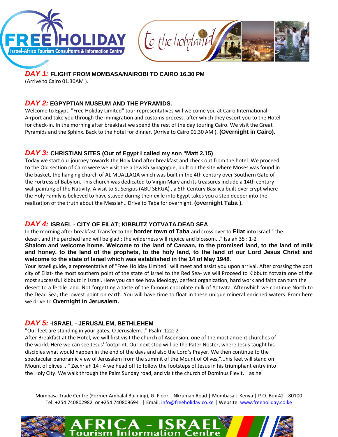



# *DAY 1:* **FLIGHT FROM MOMBASA/NAIROBI TO CAIRO 16.30 PM**

(Arrive to Cairo 01.30AM ).

## *DAY 2:* **EGPYPTIAN MUSEUM AND THE PYRAMIDS.**

Welcome to Egypt, "Free Holiday Limited" tour representatives will welcome you at Cairo International Airport and take you through the immigration and customs process. after which they escort you to the Hotel for check-in. In the morning after breakfast we spend the rest of the day touring Cairo. We visit the Great Pyramids and the Sphinx. Back to the hotel for dinner. (Arrive to Cairo 01.30 AM ). **(Overnight in Cairo).**

# *DAY 3:* **CHRISTIAN SITES (Out of Egypt I called my son "Matt 2.15)**

Today we start our journey towards the Holy land after breakfast and check out from the hotel. We proceed to the Old section of Cairo were we visit the a Jewish synagogue, built on the site where Moses was found in the basket, the hanging church of AL MUALLAQA which was built in the 4th century over Southern Gate of the Fortress of Babylon. This church was dedicated to Virgin Mary and its treasures include a 14th century wall painting of the Nativity. A visit to St.Sergius (ABU SERGA) , a 5th Century Basilica built over crypt where the Holy Family is believed to have stayed during their exile into Egypt takes you a step deeper into the realization of the truth about the Messiah.. Drive to Taba for overnight. **(overnight Taba ).**

### *DAY 4:* **ISRAEL - CITY OF EILAT; KIBBUTZ YOTVATA.DEAD SEA**

In the morning after breakfast Transfer to the **border town of Taba** and cross over to **Eilat** into Israel." the desert and the parched land will be glad ; the wilderness will rejoice and blossom..." Isaiah 35 : 1-2 **Shalom and welcome home. Welcome to the land of Canaan, to the promised land, to the land of milk and honey, to the land of the prophets, to the holy land, to the land of our Lord Jesus Christ and welcome to the state of Israel which was established in the 14 of May 1948**.

Your Israeli guide, a representative of "Free Holiday Limited" will meet and assist you upon arrival. After crossing the port city of Eilat- the most southern point of the state of Israel to the Red Sea- we will Proceed to Kibbutz Yotvata one of the most successful kibbutz in Israel. Here you can see how ideology, perfect organization, hard work and faith can turn the desert to a fertile land. Not forgetting a taste of the famous chocolate milk of Yotvata. Afterwhich we continue North to the Dead Sea; the lowest point on earth. You will have time to float in these unique mineral enriched waters. From here we drive to **Overnight in Jerusalem.**

# *DAY 5:* **-ISRAEL - JERUSALEM, BETHLEHEM**

"Our feet are standing in your gates, O Jerusalem..." Psalm 122: 2

After Breakfast at the Hotel, we will first visit the church of Ascension, one of the most ancient churches of the world. Here we can see Jesus' footprint. Our next stop will be the Pater Noster, where Jesus taught his disciples what would happen in the end of the days and also the Lord's Prayer. We then continue to the spectacular panoramic view of Jerusalem from the summit of the Mount of Olives,"...his feet will stand on Mount of olives ..." Zechriah 14 : 4 we head off to follow the footsteps of Jesus in his triumphant entry into the Holy City. We walk through the Palm Sunday road, and visit the church of Dominus Flevit, " as he

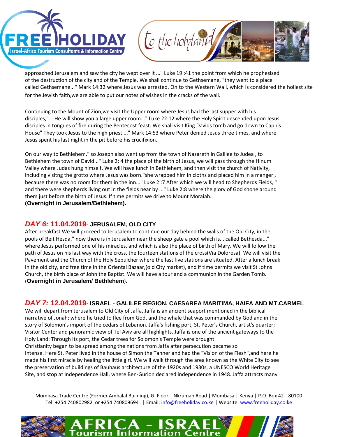



approached Jerusalem and saw the city he wept over it ..." Luke 19 :41 the point from which he prophesised of the destruction of the city and of the Temple. We shall continue to Gethsemane, "they went to a place called Gethsemane..." Mark 14:32 where Jesus was arrested. On to the Western Wall, which is considered the holiest site for the Jewish faith,we are able to put our notes of wishes in the cracks of the wall.

Continuing to the Mount of Zion,we visit the Upper room where Jesus had the last supper with his disciples,"... He will show you a large upper room..." Luke 22:12 where the Holy Spirit descended upon Jesus' disciples in tongues of fire during the Pentecost feast. We shall visit King Davids tomb and go down to Caphis House" They took Jesus to the high priest ..." Mark 14:53 where Peter denied Jesus three times, and where Jesus spent his last night in the pit before his crucifixion.

On our way to Bethlehem," so Joseph also went up from the town of Nazareth in Galilee to Judea , to Bethlehem the town of David..." Luke 2: 4 the place of the birth of Jesus, we will pass through the Hinum Valley where Judas hung himself. We will have lunch in Bethlehem, and then visit the church of Nativity, including visitng the grotto where Jesus was born."she wrapped him in cloths and placed him in a manger , because there was no room for them in the inn..." Luke 2 :7 After which we will head to Shepherds Fields, " and there were shepherds living out in the fields near by ..." Luke 2:8 where the glory of God shone around them just before the birth of Jesus. If time permits we drive to Mount Moraiah.

**(Overnight in Jerusalem/Bethlehem).**

### *DAY 6:* **11.04.2019- JERUSALEM, OLD CITY**

After breakfast We will proceed to Jerusalem to continue our day behind the walls of the Old City, in the pools of Beit Hesda," now there is in Jerusalem near the sheep gate a pool which is... called Bethesda..." where Jesus performed one of his miracles, and which is also the place of birth of Mary. We will follow the path of Jesus on his last way with the cross, the fourteen stations of the cross(Via Dolorosa). We will visit the Pavement and the Church of the Holy Sepulcher where the last five stations are situated. After a lunch break in the old city, and free time in the Oriental Bazaar,(old City market), and if time permits we visit St Johns Church, the birth place of John the Baptist. We will have a tour and a communion in the Garden Tomb. (**Overnight in Jerusalem/ Bethlehem**).

### *DAY 7:* **12.04.2019- ISRAEL - GALILEE REGION, CAESAREA MARITIMA, HAIFA AND MT.CARMEL**

We will depart from Jerusalem to Old City of Jaffa, Jaffa is an ancient seaport mentioned in the biblical narrative of Jonah; where he tried to flee from God, and the whale that was commanded by God and in the story of Solomon's import of the cedars of Lebanon. Jaffa's fishing port, St. Peter's Church, artist's quarter; Visitor Center and panoramic view of Tel Aviv are all highlights. Jaffa is one of the ancient gateways to the Holy Land: Through its port, the Cedar trees for Solomon's Temple were brought.

Christianity began to be spread among the nations from Jaffa after persecution became so intense. Here St. Peter lived in the house of Simon the Tanner and had the "Vision of the Flesh",and here he made his first miracle by healing the little girl. We will walk through the area known as the White City to see the preservation of buildings of Bauhaus architecture of the 1920s and 1930s, a UNESCO World Heritage Site, and stop at Independence Hall, where Ben-Gurion declared independence in 1948. Jaffa attracts many

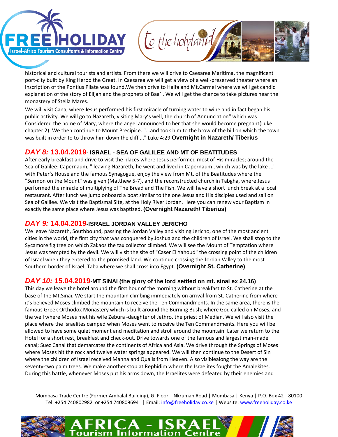



historical and cultural tourists and artists. From there we will drive to Caesarea Maritima, the magnificent port-city built by King Herod the Great. In Caesarea we will get a view of a well-preserved theater where an inscription of the Pontius Pilate was found.We then drive to Haifa and Mt.Carmel where we will get candid explanation of the story of Elijah and the prophets of Baa`l. We will get the chance to take pictures near the monastery of Stella Mares.

We will visit Cana, where Jesus performed his first miracle of turning water to wine and in fact began his public activity. We will go to Nazareth, visiting Mary's well, the church of Annunciation" which was Considered the home of Mary, where the angel announced to her that she would become pregnant(Luke chapter 2). We then continue to Mount Precipice. "...and took him to the brow of the hill on which the town was built in order to to throw him down the cliff ..." Luke 4:29 **Overnight in Nazareth/ Tiberius**

# *DAY 8:* **13.04.2019- ISRAEL - SEA OF GALILEE AND MT OF BEATITUDES**

After early breakfast and drive to visit the places where Jesus performed most of His miracles; around the Sea of Galilee: Capernaum, " leaving Nazareth, he went and lived in Capernaum , which was by the lake ..." with Peter's House and the famous Synagogue, enjoy the view from Mt. of the Beatitudes where the "Sermon on the Mount" was given (Matthew 5-7), and the reconstructed church in Tabgha, where Jesus performed the miracle of multiplying of The Bread and The Fish. We will have a short lunch break at a local restaurant. After lunch we jump onboard a boat similar to the one Jesus and His disciples used and sail on Sea of Galilee. We visit the Baptismal Site, at the Holy River Jordan. Here you can renew your Baptism in exactly the same place where Jesus was baptized. **(Overnight Nazareth/ Tiberius)**

### *DAY 9:* **14.04.2019-ISRAEL JORDAN VALLEY JERICHO**

We leave Nazareth, Southbound, passing the Jordan Valley and visiting Jericho, one of the most ancient cities in the world, the first city that was conquered by Joshua and the children of Israel. We shall stop to the Sycamore fig tree on which Zakaos the tax collector climbed. We will see the Mount of Temptation where Jesus was tempted by the devil. We will visit the site of "Caser El Yahoud" the crossing point of the children of Israel when they entered to the promised land. We continue crossing the Jordan Valley to the most Southern border of Israel, Taba where we shall cross into Egypt. **(Overnight St. Catherine)**

### *DAY 10:* **15.04.2019-MT SINAI (the glory of the lord settled on mt. sinai ex 24.16)**

This day we leave the hotel around the first hour of the morning without breakfast to St. Catherine at the base of the Mt.Sinai. We start the mountain climbing immediately on arrival from St. Catherine from where it's believed Moses climbed the mountain to receive the Ten Commandments. In the same area, there is the famous Greek Orthodox Monastery which is built around the Burning Bush; where God called on Moses, and the well where Moses met his wife Zebura -daughter of Jethro, the priest of Median. We will also visit the place where the Israelites camped when Moses went to receive the Ten Commandments. Here you will be allowed to have some quiet moment and meditation and stroll around the mountain. Later we return to the Hotel for a short rest, breakfast and check-out. Drive towards one of the famous and largest man-made canal; Suez Canal that demarcates the continents of Africa and Asia. We drive through the Springs of Moses where Moses hit the rock and twelve water springs appeared. We will then continue to the Desert of Sin where the children of Israel received Manna and Quails from Heaven. Also visiblealong the way are the seventy-two palm trees. We make another stop at Rephidim where the Israelites fought the Amalekites. During this battle, whenever Moses put his arms down, the Israelites were defeated by their enemies and

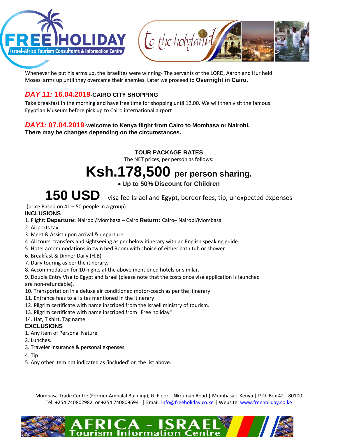



Whenever he put his arms up, the Israelites were winning- The servants of the LORD, Aaron and Hur held Moses' arms up until they overcame their enemies. Later we proceed to **Overnight in Cairo.**

# *DAY 11:* **16.04.2019-CAIRO CITY SHOPPING**

Take breakfast in the morning and have free time for shopping until 12.00. We will then visit the famous Egyptian Museum before pick up to Cairo international airport

#### *DAY1:* **07.04.2019-welcome to Kenya flight from Cairo to Mombasa or Nairobi. There may be changes depending on the circumstances.**

# **TOUR PACKAGE RATES**

The NET prices, per person as follows:

# **Ksh.178,500 per person sharing.**

# **Up to 50% Discount for Children**

# 150 USD - visa fee Israel and Egypt, border fees, tip, unexpected expenses

(price Based on 41 – 50 people in a group)

### **INCLUSIONS**

- 1. Flight: **Departure:** Nairobi/Mombasa Cairo **Return:** Cairo– Nairobi/Mombasa
- 2. Airports tax
- 3. Meet & Assist upon arrival & departure.
- 4. All tours, transfers and sightseeing as per below itinerary with an English speaking guide.
- 5. Hotel accommodations in twin bed Room with choice of either bath tub or shower.
- 6. Breakfast & Dinner Daily (H.B)
- 7. Daily touring as per the itinerary.
- 8. Accommodation for 10 nights at the above mentioned hotels or similar.
- 9. Double Entry Visa to Egypt and Israel (please note that the costs once visa application is launched are non-refundable).
- 10. Transportation in a deluxe air conditioned motor-coach as per the itinerary.
- 11. Entrance fees to all sites mentioned in the itinerary
- 12. Pilgrim certificate with name inscribed from the Israeli ministry of tourism.
- 13. Pilgrim certificate with name inscribed from "Free holiday"

#### 14. Hat, T shirt, Tag name.

#### **EXCLUSIONS**

- 1. Any item of Personal Nature
- 2. Lunches.
- 3. Traveler insurance & personal expenses

4. Tip

5. Any other item not indicated as 'included' on the list above.